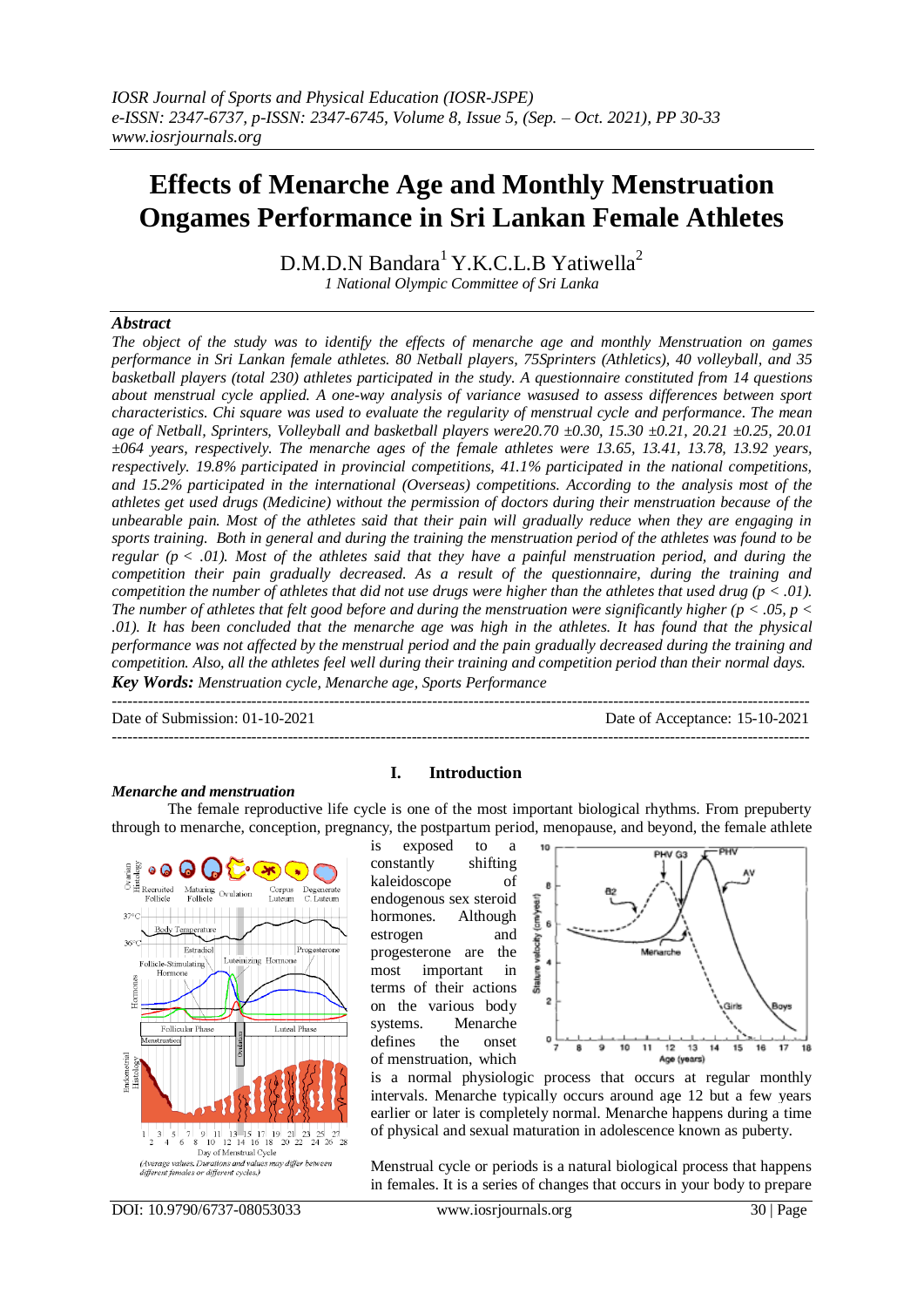# **Effects of Menarche Age and Monthly Menstruation Ongames Performance in Sri Lankan Female Athletes**

 $D.M.D.N$  Bandara<sup>1</sup> Y.K.C.L.B Yatiwella<sup>2</sup> *1 National Olympic Committee of Sri Lanka*

*Abstract* 

*The object of the study was to identify the effects of menarche age and monthly Menstruation on games performance in Sri Lankan female athletes. 80 Netball players, 75Sprinters (Athletics), 40 volleyball, and 35 basketball players (total 230) athletes participated in the study. A questionnaire constituted from 14 questions about menstrual cycle applied. A one-way analysis of variance wasused to assess differences between sport characteristics. Chi square was used to evaluate the regularity of menstrual cycle and performance. The mean age of Netball, Sprinters, Volleyball and basketball players were20.70 ±0.30, 15.30 ±0.21, 20.21 ±0.25, 20.01 ±064 years, respectively. The menarche ages of the female athletes were 13.65, 13.41, 13.78, 13.92 years, respectively. 19.8% participated in provincial competitions, 41.1% participated in the national competitions, and 15.2% participated in the international (Overseas) competitions. According to the analysis most of the athletes get used drugs (Medicine) without the permission of doctors during their menstruation because of the unbearable pain. Most of the athletes said that their pain will gradually reduce when they are engaging in sports training. Both in general and during the training the menstruation period of the athletes was found to be regular (p < .01). Most of the athletes said that they have a painful menstruation period, and during the competition their pain gradually decreased. As a result of the questionnaire, during the training and competition the number of athletes that did not use drugs were higher than the athletes that used drug (* $p < .01$ *). The number of athletes that felt good before and during the menstruation were significantly higher (* $p < .05$ *,*  $p <$ *.01). It has been concluded that the menarche age was high in the athletes. It has found that the physical performance was not affected by the menstrual period and the pain gradually decreased during the training and competition. Also, all the athletes feel well during their training and competition period than their normal days. Key Words: Menstruation cycle, Menarche age, Sports Performance* 

Date of Submission: 01-10-2021 Date of Acceptance: 15-10-2021

---------------------------------------------------------------------------------------------------------------------------------------

### *Menarche and menstruation*

## **I. Introduction**

---------------------------------------------------------------------------------------------------------------------------------------

The female reproductive life cycle is one of the most important biological rhythms. From prepuberty through to menarche, conception, pregnancy, the postpartum period, menopause, and beyond, the female athlete



is exposed to a constantly shifting kaleidoscope of endogenous sex steroid hormones. Although estrogen and progesterone are the most important in terms of their actions on the various body systems. Menarche defines the onset of menstruation, which



is a normal physiologic process that occurs at regular monthly intervals. Menarche typically occurs around age 12 but a few years earlier or later is completely normal. Menarche happens during a time of physical and sexual maturation in adolescence known as puberty.

Menstrual cycle or periods is a natural biological process that happens in females. It is a series of changes that occurs in your body to prepare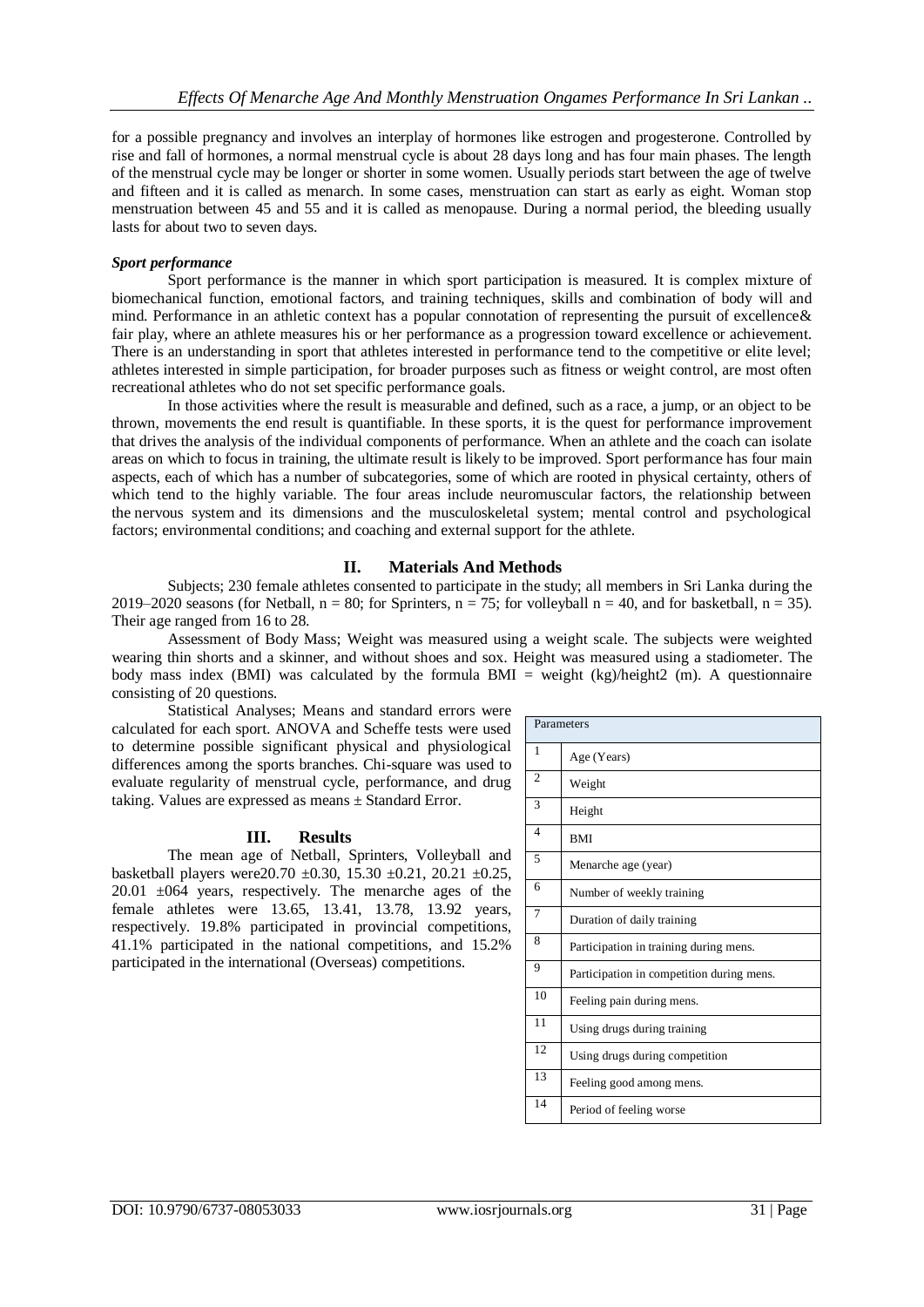for a possible pregnancy and involves an interplay of hormones like estrogen and progesterone. Controlled by rise and fall of hormones, a normal menstrual cycle is about 28 days long and has four main phases. The length of the menstrual cycle may be longer or shorter in some women. Usually periods start between the age of twelve and fifteen and it is called as menarch. In some cases, menstruation can start as early as eight. Woman stop menstruation between 45 and 55 and it is called as menopause. During a normal period, the bleeding usually lasts for about two to seven days.

### *Sport performance*

Sport performance is the manner in which sport participation is measured. It is complex mixture of biomechanical function, emotional factors, and training techniques, skills and combination of body will and mind. Performance in an athletic context has a popular connotation of representing the pursuit of excellence& fair play, where an athlete measures his or her performance as a progression toward excellence or achievement. There is an understanding in sport that athletes interested in performance tend to the competitive or elite level; athletes interested in simple participation, for broader purposes such as fitness or weight control, are most often recreational athletes who do not set specific performance goals.

In those activities where the result is measurable and defined, such as a race, a jump, or an object to be thrown, movements the end result is quantifiable. In these sports, it is the quest for performance improvement that drives the analysis of the individual components of performance. When an athlete and the coach can isolate areas on which to focus in training, the ultimate result is likely to be improved. Sport performance has four main aspects, each of which has a number of subcategories, some of which are rooted in physical certainty, others of which tend to the highly variable. The four areas include neuromuscular factors, the relationship between the nervous system and its dimensions and the musculoskeletal system; mental control and psychological factors; environmental conditions; and coaching and external support for the athlete.

# **II. Materials And Methods**

Subjects; 230 female athletes consented to participate in the study; all members in Sri Lanka during the 2019–2020 seasons (for Netball,  $n = 80$ ; for Sprinters,  $n = 75$ ; for volleyball  $n = 40$ , and for basketball,  $n = 35$ ). Their age ranged from 16 to 28.

Assessment of Body Mass; Weight was measured using a weight scale. The subjects were weighted wearing thin shorts and a skinner, and without shoes and sox. Height was measured using a stadiometer. The body mass index (BMI) was calculated by the formula BMI = weight (kg)/height2 (m). A questionnaire consisting of 20 questions.

Statistical Analyses; Means and standard errors were calculated for each sport. ANOVA and Scheffe tests were used to determine possible significant physical and physiological differences among the sports branches. Chi-square was used to evaluate regularity of menstrual cycle, performance, and drug taking. Values are expressed as means ± Standard Error.

# **III. Results**

The mean age of Netball, Sprinters, Volleyball and basketball players were20.70 ±0.30, 15.30 ±0.21, 20.21 ±0.25, 20.01 ±064 years, respectively. The menarche ages of the female athletes were 13.65, 13.41, 13.78, 13.92 years, respectively. 19.8% participated in provincial competitions, 41.1% participated in the national competitions, and 15.2% participated in the international (Overseas) competitions.

| Parameters     |                                           |  |
|----------------|-------------------------------------------|--|
| 1              | Age (Years)                               |  |
| $\overline{2}$ | Weight                                    |  |
| 3              | Height                                    |  |
| $\overline{4}$ | <b>BMI</b>                                |  |
| 5              | Menarche age (year)                       |  |
| 6              | Number of weekly training                 |  |
| 7              | Duration of daily training                |  |
| 8              | Participation in training during mens.    |  |
| 9              | Participation in competition during mens. |  |
| 10             | Feeling pain during mens.                 |  |
| 11             | Using drugs during training               |  |
| 12             | Using drugs during competition            |  |
| 13             | Feeling good among mens.                  |  |
| 14             | Period of feeling worse                   |  |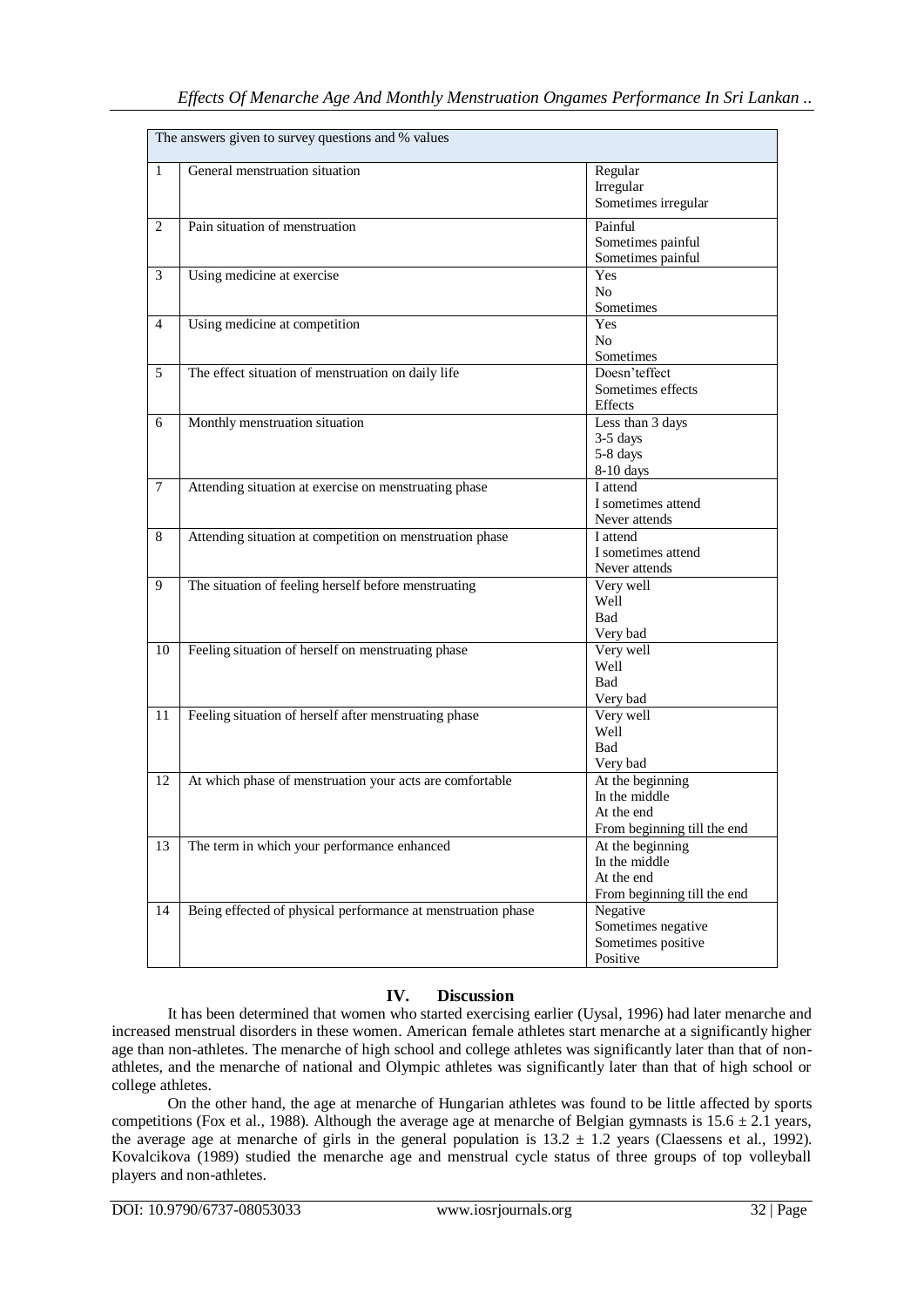| The answers given to survey questions and % values |                                                              |                                                                                |  |
|----------------------------------------------------|--------------------------------------------------------------|--------------------------------------------------------------------------------|--|
| $\mathbf{1}$                                       | General menstruation situation                               | Regular<br>Irregular<br>Sometimes irregular                                    |  |
| $\overline{2}$                                     | Pain situation of menstruation                               | Painful<br>Sometimes painful<br>Sometimes painful                              |  |
| 3                                                  | Using medicine at exercise                                   | Yes<br>No<br>Sometimes                                                         |  |
| $\overline{4}$                                     | Using medicine at competition                                | Yes<br>No<br>Sometimes                                                         |  |
| 5                                                  | The effect situation of menstruation on daily life           | Doesn'teffect<br>Sometimes effects<br>Effects                                  |  |
| 6                                                  | Monthly menstruation situation                               | Less than 3 days<br>3-5 days<br>5-8 days<br>8-10 days                          |  |
| $\tau$                                             | Attending situation at exercise on menstruating phase        | I attend<br>I sometimes attend<br>Never attends                                |  |
| 8                                                  | Attending situation at competition on menstruation phase     | I attend<br>I sometimes attend<br>Never attends                                |  |
| 9                                                  | The situation of feeling herself before menstruating         | Very well<br>Well<br><b>Bad</b><br>Very bad                                    |  |
| 10                                                 | Feeling situation of herself on menstruating phase           | Very well<br>Well<br><b>Bad</b><br>Very bad                                    |  |
| 11                                                 | Feeling situation of herself after menstruating phase        | Very well<br>Well<br><b>Bad</b><br>Very bad                                    |  |
| 12                                                 | At which phase of menstruation your acts are comfortable     | At the beginning<br>In the middle<br>At the end<br>From beginning till the end |  |
| 13                                                 | The term in which your performance enhanced                  | At the beginning<br>In the middle<br>At the end<br>From beginning till the end |  |
| 14                                                 | Being effected of physical performance at menstruation phase | Negative<br>Sometimes negative<br>Sometimes positive<br>Positive               |  |

# **IV. Discussion**

It has been determined that women who started exercising earlier (Uysal, 1996) had later menarche and increased menstrual disorders in these women. American female athletes start menarche at a significantly higher age than non-athletes. The menarche of high school and college athletes was significantly later than that of nonathletes, and the menarche of national and Olympic athletes was significantly later than that of high school or college athletes.

On the other hand, the age at menarche of Hungarian athletes was found to be little affected by sports competitions (Fox et al., 1988). Although the average age at menarche of Belgian gymnasts is  $15.6 \pm 2.1$  years, the average age at menarche of girls in the general population is  $13.2 \pm 1.2$  years (Claessens et al., 1992). Kovalcikova (1989) studied the menarche age and menstrual cycle status of three groups of top volleyball players and non-athletes.